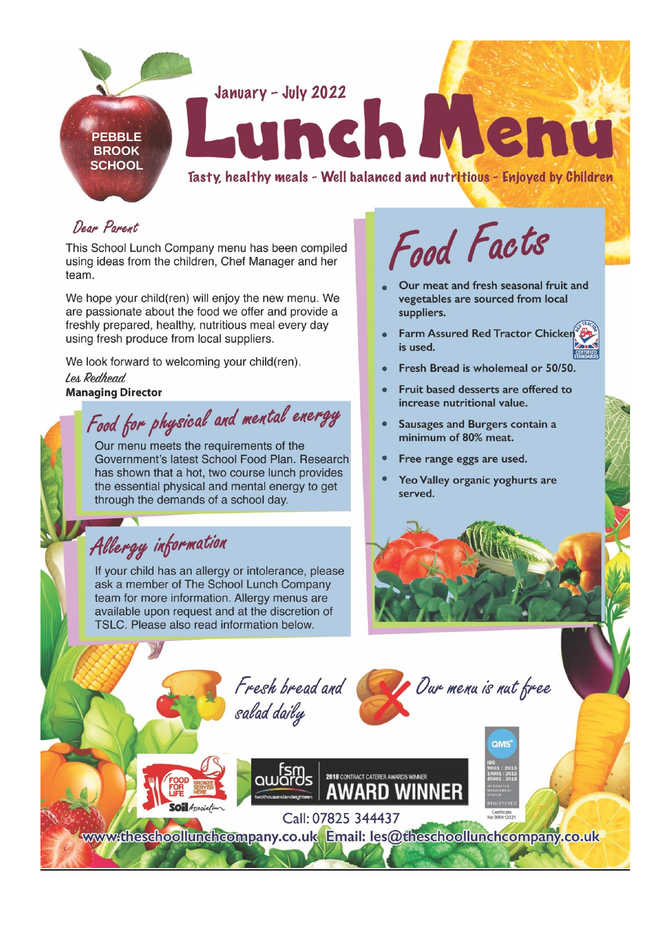

## Dear Parent

This School Lunch Company menu has been compiled using ideas from the children, Chef Manager and her team.

We hope your child(ren) will enjoy the new menu. We are passionate about the food we offer and provide a freshly prepared, healthy, nutritious meal every day using fresh produce from local suppliers.

We look forward to welcoming your child(ren). Les Redhead **Managing Director** 

Food for physical and mental energy

Our menu meets the requirements of the Government's latest School Food Plan. Research has shown that a hot, two course lunch provides the essential physical and mental energy to get through the demands of a school day.

## Allergy information

If your child has an allergy or intolerance, please ask a member of The School Lunch Company team for more information. Allergy menus are available upon request and at the discretion of TSLC. Please also read information below.

Food Facts

- Our meat and fresh seasonal fruit and vegetables are sourced from local suppliers.
- **Farm Assured Red Tractor Chicker** is used.
- Fresh Bread is wholemeal or 50/50.
- Fruit based desserts are offered to increase nutritional value.
- Sausages and Burgers contain a minimum of 80% meat.
- Free range eggs are used.
- Yeo Valley organic yoghurts are served.



Fresh bread and salad daily



2018 CONTRACT CATERER AWARDS WINNER **AWARD WINNER** 

Call: 07825 344437 www.theschoollunchcompany.co.uk Email: les@theschoollunchcompany.co.uk